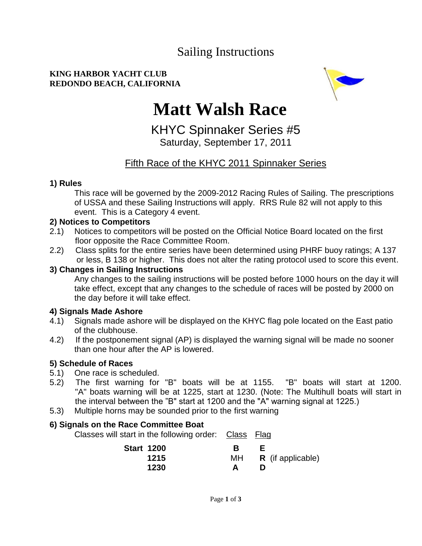## Sailing Instructions

#### **KING HARBOR YACHT CLUB REDONDO BEACH, CALIFORNIA**



# **Matt Walsh Race**

KHYC Spinnaker Series #5 Saturday, September 17, 2011

### Fifth Race of the KHYC 2011 Spinnaker Series

#### **1) Rules**

This race will be governed by the 2009-2012 Racing Rules of Sailing. The prescriptions of USSA and these Sailing Instructions will apply. RRS Rule 82 will not apply to this event. This is a Category 4 event.

#### **2) Notices to Competitors**

- 2.1) Notices to competitors will be posted on the Official Notice Board located on the first floor opposite the Race Committee Room.
- 2.2) Class splits for the entire series have been determined using PHRF buoy ratings; A 137 or less, B 138 or higher. This does not alter the rating protocol used to score this event.

#### **3) Changes in Sailing Instructions**

Any changes to the sailing instructions will be posted before 1000 hours on the day it will take effect, except that any changes to the schedule of races will be posted by 2000 on the day before it will take effect.

#### **4) Signals Made Ashore**

- 4.1) Signals made ashore will be displayed on the KHYC flag pole located on the East patio of the clubhouse.
- 4.2) If the postponement signal (AP) is displayed the warning signal will be made no sooner than one hour after the AP is lowered.

#### **5) Schedule of Races**

- 5.1) One race is scheduled.
- 5.2) The first warning for "B" boats will be at 1155. "B" boats will start at 1200. "A" boats warning will be at 1225, start at 1230. (Note: The Multihull boats will start in the interval between the "B" start at 1200 and the "A" warning signal at 1225.)
- 5.3) Multiple horns may be sounded prior to the first warning

#### **6) Signals on the Race Committee Boat**

Classes will start in the following order: Class Flag

| <b>Start 1200</b> |    |                          |
|-------------------|----|--------------------------|
| 1215              | MН | <b>R</b> (if applicable) |
| 1230              |    |                          |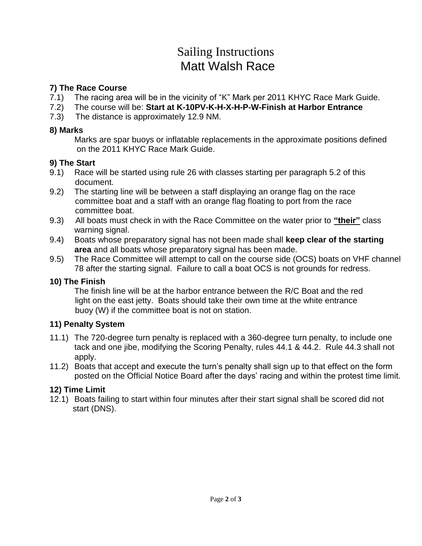## Sailing Instructions Matt Walsh Race

#### **7) The Race Course**

- 7.1) The racing area will be in the vicinity of "K" Mark per 2011 KHYC Race Mark Guide.
- 7.2) The course will be: **Start at K-10PV-K-H-X-H-P-W-Finish at Harbor Entrance**
- 7.3) The distance is approximately 12.9 NM.

#### **8) Marks**

Marks are spar buoys or inflatable replacements in the approximate positions defined on the 2011 KHYC Race Mark Guide.

#### **9) The Start**

- 9.1) Race will be started using rule 26 with classes starting per paragraph 5.2 of this document.
- 9.2) The starting line will be between a staff displaying an orange flag on the race committee boat and a staff with an orange flag floating to port from the race committee boat.
- 9.3) All boats must check in with the Race Committee on the water prior to **"their"** class warning signal.
- 9.4) Boats whose preparatory signal has not been made shall **keep clear of the starting area** and all boats whose preparatory signal has been made.
- 9.5) The Race Committee will attempt to call on the course side (OCS) boats on VHF channel 78 after the starting signal. Failure to call a boat OCS is not grounds for redress.

#### **10) The Finish**

The finish line will be at the harbor entrance between the R/C Boat and the red light on the east jetty. Boats should take their own time at the white entrance buoy (W) if the committee boat is not on station.

#### **11) Penalty System**

- 11.1) The 720-degree turn penalty is replaced with a 360-degree turn penalty, to include one tack and one jibe, modifying the Scoring Penalty, rules 44.1 & 44.2. Rule 44.3 shall not apply.
- 11.2) Boats that accept and execute the turn's penalty shall sign up to that effect on the form posted on the Official Notice Board after the days' racing and within the protest time limit.

#### **12) Time Limit**

12.1) Boats failing to start within four minutes after their start signal shall be scored did not start (DNS).